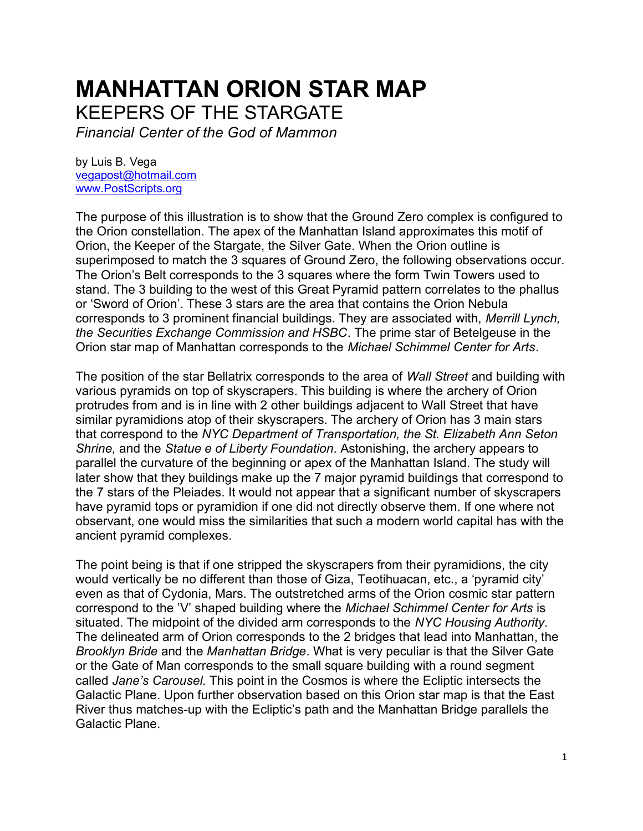## **MANHATTAN ORION STAR MAP**

KEEPERS OF THE STARGATE

*Financial Center of the God of Mammon*

by Luis B. Vega [vegapost@hotmail.com](mailto:vegapost@hotmail.com) [www.PostScripts.org](http://www.postscripts.org/)

The purpose of this illustration is to show that the Ground Zero complex is configured to the Orion constellation. The apex of the Manhattan Island approximates this motif of Orion, the Keeper of the Stargate, the Silver Gate. When the Orion outline is superimposed to match the 3 squares of Ground Zero, the following observations occur. The Orion's Belt corresponds to the 3 squares where the form Twin Towers used to stand. The 3 building to the west of this Great Pyramid pattern correlates to the phallus or 'Sword of Orion'. These 3 stars are the area that contains the Orion Nebula corresponds to 3 prominent financial buildings. They are associated with, *Merrill Lynch, the Securities Exchange Commission and HSBC*. The prime star of Betelgeuse in the Orion star map of Manhattan corresponds to the *Michael Schimmel Center for Arts*.

The position of the star Bellatrix corresponds to the area of *Wall Street* and building with various pyramids on top of skyscrapers. This building is where the archery of Orion protrudes from and is in line with 2 other buildings adjacent to Wall Street that have similar pyramidions atop of their skyscrapers. The archery of Orion has 3 main stars that correspond to the *NYC Department of Transportation, the St. Elizabeth Ann Seton Shrine,* and the *Statue e of Liberty Foundation*. Astonishing, the archery appears to parallel the curvature of the beginning or apex of the Manhattan Island. The study will later show that they buildings make up the 7 major pyramid buildings that correspond to the 7 stars of the Pleiades. It would not appear that a significant number of skyscrapers have pyramid tops or pyramidion if one did not directly observe them. If one where not observant, one would miss the similarities that such a modern world capital has with the ancient pyramid complexes.

The point being is that if one stripped the skyscrapers from their pyramidions, the city would vertically be no different than those of Giza, Teotihuacan, etc., a 'pyramid city' even as that of Cydonia, Mars. The outstretched arms of the Orion cosmic star pattern correspond to the 'V' shaped building where the *Michael Schimmel Center for Arts* is situated. The midpoint of the divided arm corresponds to the *NYC Housing Authority*. The delineated arm of Orion corresponds to the 2 bridges that lead into Manhattan, the *Brooklyn Bride* and the *Manhattan Bridge*. What is very peculiar is that the Silver Gate or the Gate of Man corresponds to the small square building with a round segment called *Jane's Carousel.* This point in the Cosmos is where the Ecliptic intersects the Galactic Plane. Upon further observation based on this Orion star map is that the East River thus matches-up with the Ecliptic's path and the Manhattan Bridge parallels the Galactic Plane.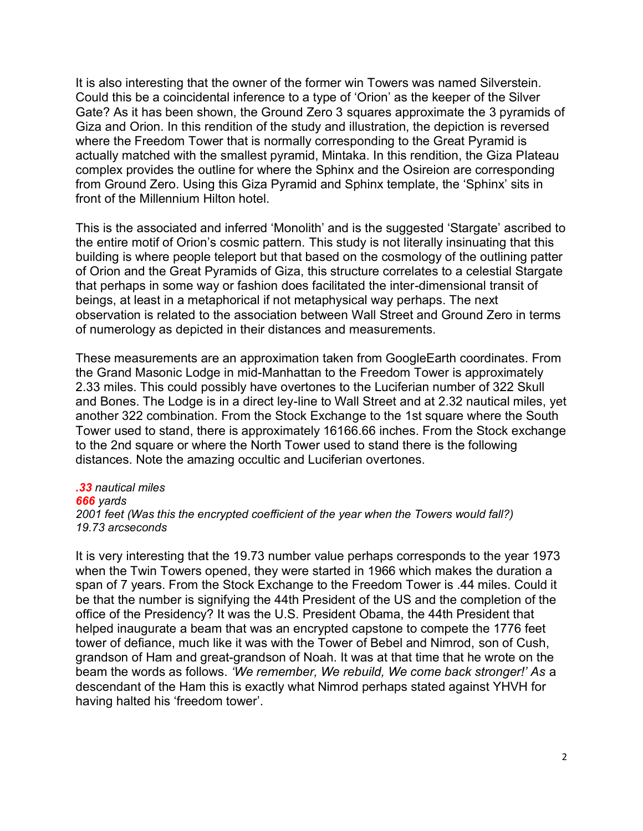It is also interesting that the owner of the former win Towers was named Silverstein. Could this be a coincidental inference to a type of 'Orion' as the keeper of the Silver Gate? As it has been shown, the Ground Zero 3 squares approximate the 3 pyramids of Giza and Orion. In this rendition of the study and illustration, the depiction is reversed where the Freedom Tower that is normally corresponding to the Great Pyramid is actually matched with the smallest pyramid, Mintaka. In this rendition, the Giza Plateau complex provides the outline for where the Sphinx and the Osireion are corresponding from Ground Zero. Using this Giza Pyramid and Sphinx template, the 'Sphinx' sits in front of the Millennium Hilton hotel.

This is the associated and inferred 'Monolith' and is the suggested 'Stargate' ascribed to the entire motif of Orion's cosmic pattern. This study is not literally insinuating that this building is where people teleport but that based on the cosmology of the outlining patter of Orion and the Great Pyramids of Giza, this structure correlates to a celestial Stargate that perhaps in some way or fashion does facilitated the inter-dimensional transit of beings, at least in a metaphorical if not metaphysical way perhaps. The next observation is related to the association between Wall Street and Ground Zero in terms of numerology as depicted in their distances and measurements.

These measurements are an approximation taken from GoogleEarth coordinates. From the Grand Masonic Lodge in mid-Manhattan to the Freedom Tower is approximately 2.33 miles. This could possibly have overtones to the Luciferian number of 322 Skull and Bones. The Lodge is in a direct ley-line to Wall Street and at 2.32 nautical miles, yet another 322 combination. From the Stock Exchange to the 1st square where the South Tower used to stand, there is approximately 16166.66 inches. From the Stock exchange to the 2nd square or where the North Tower used to stand there is the following distances. Note the amazing occultic and Luciferian overtones.

## *.33 nautical miles 666 yards 2001 feet (Was this the encrypted coefficient of the year when the Towers would fall?) 19.73 arcseconds*

It is very interesting that the 19.73 number value perhaps corresponds to the year 1973 when the Twin Towers opened, they were started in 1966 which makes the duration a span of 7 years. From the Stock Exchange to the Freedom Tower is .44 miles. Could it be that the number is signifying the 44th President of the US and the completion of the office of the Presidency? It was the U.S. President Obama, the 44th President that helped inaugurate a beam that was an encrypted capstone to compete the 1776 feet tower of defiance, much like it was with the Tower of Bebel and Nimrod, son of Cush, grandson of Ham and great-grandson of Noah. It was at that time that he wrote on the beam the words as follows. *'We remember, We rebuild, We come back stronger!' As* a descendant of the Ham this is exactly what Nimrod perhaps stated against YHVH for having halted his 'freedom tower'.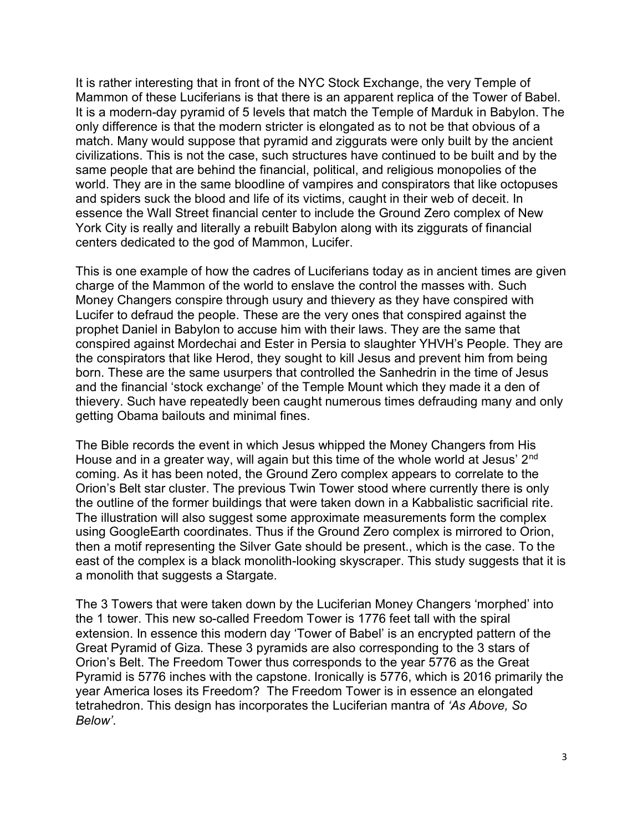It is rather interesting that in front of the NYC Stock Exchange, the very Temple of Mammon of these Luciferians is that there is an apparent replica of the Tower of Babel. It is a modern-day pyramid of 5 levels that match the Temple of Marduk in Babylon. The only difference is that the modern stricter is elongated as to not be that obvious of a match. Many would suppose that pyramid and ziggurats were only built by the ancient civilizations. This is not the case, such structures have continued to be built and by the same people that are behind the financial, political, and religious monopolies of the world. They are in the same bloodline of vampires and conspirators that like octopuses and spiders suck the blood and life of its victims, caught in their web of deceit. In essence the Wall Street financial center to include the Ground Zero complex of New York City is really and literally a rebuilt Babylon along with its ziggurats of financial centers dedicated to the god of Mammon, Lucifer.

This is one example of how the cadres of Luciferians today as in ancient times are given charge of the Mammon of the world to enslave the control the masses with. Such Money Changers conspire through usury and thievery as they have conspired with Lucifer to defraud the people. These are the very ones that conspired against the prophet Daniel in Babylon to accuse him with their laws. They are the same that conspired against Mordechai and Ester in Persia to slaughter YHVH's People. They are the conspirators that like Herod, they sought to kill Jesus and prevent him from being born. These are the same usurpers that controlled the Sanhedrin in the time of Jesus and the financial 'stock exchange' of the Temple Mount which they made it a den of thievery. Such have repeatedly been caught numerous times defrauding many and only getting Obama bailouts and minimal fines.

The Bible records the event in which Jesus whipped the Money Changers from His House and in a greater way, will again but this time of the whole world at Jesus' 2<sup>nd</sup> coming. As it has been noted, the Ground Zero complex appears to correlate to the Orion's Belt star cluster. The previous Twin Tower stood where currently there is only the outline of the former buildings that were taken down in a Kabbalistic sacrificial rite. The illustration will also suggest some approximate measurements form the complex using GoogleEarth coordinates. Thus if the Ground Zero complex is mirrored to Orion, then a motif representing the Silver Gate should be present., which is the case. To the east of the complex is a black monolith-looking skyscraper. This study suggests that it is a monolith that suggests a Stargate.

The 3 Towers that were taken down by the Luciferian Money Changers 'morphed' into the 1 tower. This new so-called Freedom Tower is 1776 feet tall with the spiral extension. In essence this modern day 'Tower of Babel' is an encrypted pattern of the Great Pyramid of Giza. These 3 pyramids are also corresponding to the 3 stars of Orion's Belt. The Freedom Tower thus corresponds to the year 5776 as the Great Pyramid is 5776 inches with the capstone. Ironically is 5776, which is 2016 primarily the year America loses its Freedom? The Freedom Tower is in essence an elongated tetrahedron. This design has incorporates the Luciferian mantra of *'As Above, So Below'*.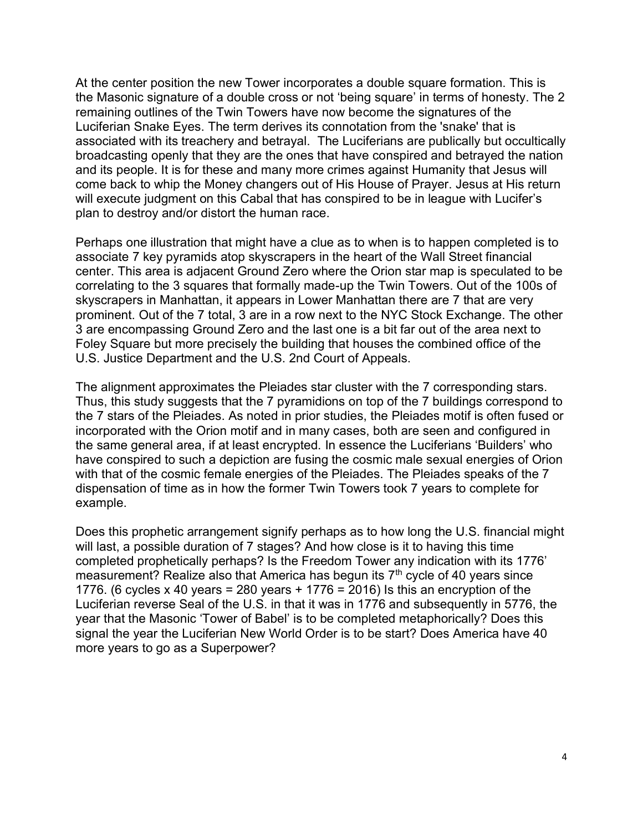At the center position the new Tower incorporates a double square formation. This is the Masonic signature of a double cross or not 'being square' in terms of honesty. The 2 remaining outlines of the Twin Towers have now become the signatures of the Luciferian Snake Eyes. The term derives its connotation from the 'snake' that is associated with its treachery and betrayal. The Luciferians are publically but occultically broadcasting openly that they are the ones that have conspired and betrayed the nation and its people. It is for these and many more crimes against Humanity that Jesus will come back to whip the Money changers out of His House of Prayer. Jesus at His return will execute judgment on this Cabal that has conspired to be in league with Lucifer's plan to destroy and/or distort the human race.

Perhaps one illustration that might have a clue as to when is to happen completed is to associate 7 key pyramids atop skyscrapers in the heart of the Wall Street financial center. This area is adjacent Ground Zero where the Orion star map is speculated to be correlating to the 3 squares that formally made-up the Twin Towers. Out of the 100s of skyscrapers in Manhattan, it appears in Lower Manhattan there are 7 that are very prominent. Out of the 7 total, 3 are in a row next to the NYC Stock Exchange. The other 3 are encompassing Ground Zero and the last one is a bit far out of the area next to Foley Square but more precisely the building that houses the combined office of the U.S. Justice Department and the U.S. 2nd Court of Appeals.

The alignment approximates the Pleiades star cluster with the 7 corresponding stars. Thus, this study suggests that the 7 pyramidions on top of the 7 buildings correspond to the 7 stars of the Pleiades. As noted in prior studies, the Pleiades motif is often fused or incorporated with the Orion motif and in many cases, both are seen and configured in the same general area, if at least encrypted. In essence the Luciferians 'Builders' who have conspired to such a depiction are fusing the cosmic male sexual energies of Orion with that of the cosmic female energies of the Pleiades. The Pleiades speaks of the 7 dispensation of time as in how the former Twin Towers took 7 years to complete for example.

Does this prophetic arrangement signify perhaps as to how long the U.S. financial might will last, a possible duration of 7 stages? And how close is it to having this time completed prophetically perhaps? Is the Freedom Tower any indication with its 1776' measurement? Realize also that America has begun its  $7<sup>th</sup>$  cycle of 40 years since 1776. (6 cycles x 40 years = 280 years + 1776 = 2016) Is this an encryption of the Luciferian reverse Seal of the U.S. in that it was in 1776 and subsequently in 5776, the year that the Masonic 'Tower of Babel' is to be completed metaphorically? Does this signal the year the Luciferian New World Order is to be start? Does America have 40 more years to go as a Superpower?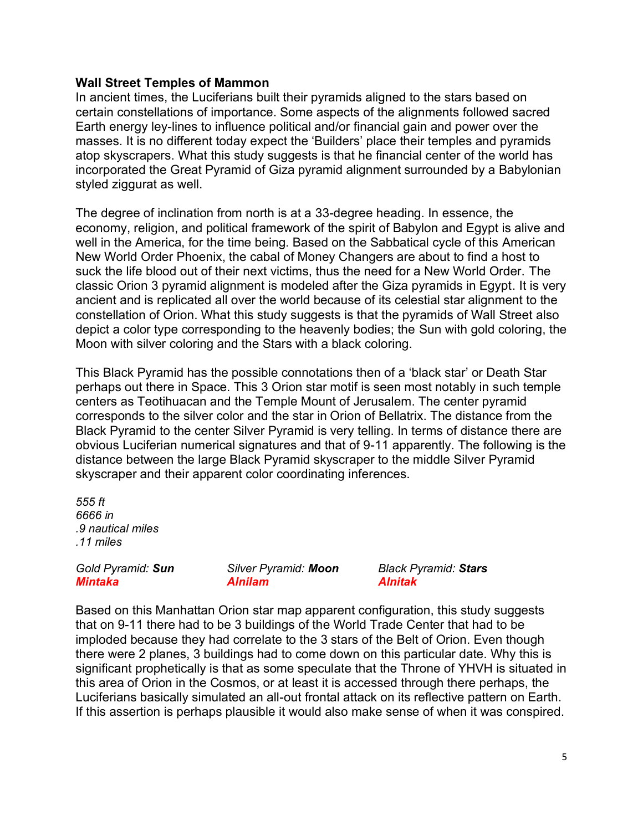## **Wall Street Temples of Mammon**

In ancient times, the Luciferians built their pyramids aligned to the stars based on certain constellations of importance. Some aspects of the alignments followed sacred Earth energy ley-lines to influence political and/or financial gain and power over the masses. It is no different today expect the 'Builders' place their temples and pyramids atop skyscrapers. What this study suggests is that he financial center of the world has incorporated the Great Pyramid of Giza pyramid alignment surrounded by a Babylonian styled ziggurat as well.

The degree of inclination from north is at a 33-degree heading. In essence, the economy, religion, and political framework of the spirit of Babylon and Egypt is alive and well in the America, for the time being. Based on the Sabbatical cycle of this American New World Order Phoenix, the cabal of Money Changers are about to find a host to suck the life blood out of their next victims, thus the need for a New World Order. The classic Orion 3 pyramid alignment is modeled after the Giza pyramids in Egypt. It is very ancient and is replicated all over the world because of its celestial star alignment to the constellation of Orion. What this study suggests is that the pyramids of Wall Street also depict a color type corresponding to the heavenly bodies; the Sun with gold coloring, the Moon with silver coloring and the Stars with a black coloring.

This Black Pyramid has the possible connotations then of a 'black star' or Death Star perhaps out there in Space. This 3 Orion star motif is seen most notably in such temple centers as Teotihuacan and the Temple Mount of Jerusalem. The center pyramid corresponds to the silver color and the star in Orion of Bellatrix. The distance from the Black Pyramid to the center Silver Pyramid is very telling. In terms of distance there are obvious Luciferian numerical signatures and that of 9-11 apparently. The following is the distance between the large Black Pyramid skyscraper to the middle Silver Pyramid skyscraper and their apparent color coordinating inferences.

*555 ft 6666 in .9 nautical miles .11 miles* 

*Mintaka Alnilam Alnitak*

*Gold Pyramid: Sun Silver Pyramid: Moon Black Pyramid: Stars*

Based on this Manhattan Orion star map apparent configuration, this study suggests that on 9-11 there had to be 3 buildings of the World Trade Center that had to be imploded because they had correlate to the 3 stars of the Belt of Orion. Even though there were 2 planes, 3 buildings had to come down on this particular date. Why this is significant prophetically is that as some speculate that the Throne of YHVH is situated in this area of Orion in the Cosmos, or at least it is accessed through there perhaps, the Luciferians basically simulated an all-out frontal attack on its reflective pattern on Earth. If this assertion is perhaps plausible it would also make sense of when it was conspired.